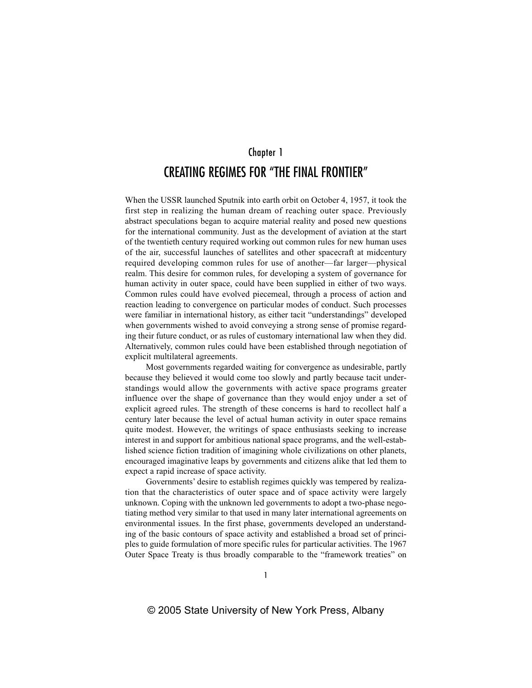# Chapter 1 CREATING REGIMES FOR "THE FINAL FRONTIER"

When the USSR launched Sputnik into earth orbit on October 4, 1957, it took the first step in realizing the human dream of reaching outer space. Previously abstract speculations began to acquire material reality and posed new questions for the international community. Just as the development of aviation at the start of the twentieth century required working out common rules for new human uses of the air, successful launches of satellites and other spacecraft at midcentury required developing common rules for use of another—far larger—physical realm. This desire for common rules, for developing a system of governance for human activity in outer space, could have been supplied in either of two ways. Common rules could have evolved piecemeal, through a process of action and reaction leading to convergence on particular modes of conduct. Such processes were familiar in international history, as either tacit "understandings" developed when governments wished to avoid conveying a strong sense of promise regarding their future conduct, or as rules of customary international law when they did. Alternatively, common rules could have been established through negotiation of explicit multilateral agreements.

Most governments regarded waiting for convergence as undesirable, partly because they believed it would come too slowly and partly because tacit understandings would allow the governments with active space programs greater influence over the shape of governance than they would enjoy under a set of explicit agreed rules. The strength of these concerns is hard to recollect half a century later because the level of actual human activity in outer space remains quite modest. However, the writings of space enthusiasts seeking to increase interest in and support for ambitious national space programs, and the well-established science fiction tradition of imagining whole civilizations on other planets, encouraged imaginative leaps by governments and citizens alike that led them to expect a rapid increase of space activity.

Governments' desire to establish regimes quickly was tempered by realization that the characteristics of outer space and of space activity were largely unknown. Coping with the unknown led governments to adopt a two-phase negotiating method very similar to that used in many later international agreements on environmental issues. In the first phase, governments developed an understanding of the basic contours of space activity and established a broad set of principles to guide formulation of more specific rules for particular activities. The 1967 Outer Space Treaty is thus broadly comparable to the "framework treaties" on

1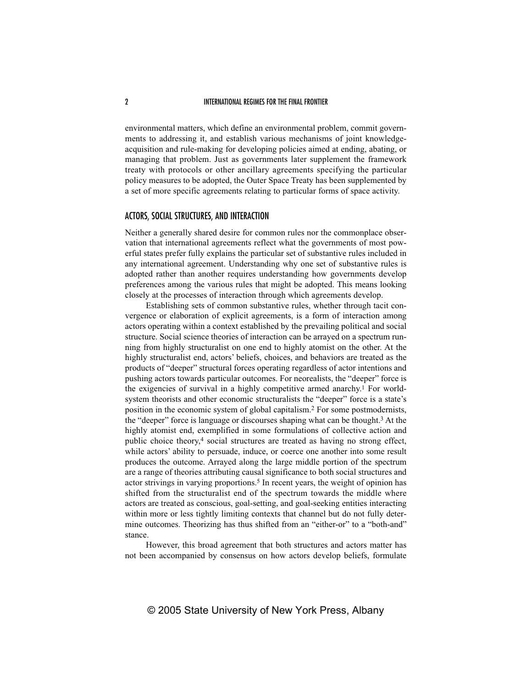environmental matters, which define an environmental problem, commit governments to addressing it, and establish various mechanisms of joint knowledgeacquisition and rule-making for developing policies aimed at ending, abating, or managing that problem. Just as governments later supplement the framework treaty with protocols or other ancillary agreements specifying the particular policy measures to be adopted, the Outer Space Treaty has been supplemented by a set of more specific agreements relating to particular forms of space activity.

# ACTORS, SOCIAL STRUCTURES, AND INTERACTION

Neither a generally shared desire for common rules nor the commonplace observation that international agreements reflect what the governments of most powerful states prefer fully explains the particular set of substantive rules included in any international agreement. Understanding why one set of substantive rules is adopted rather than another requires understanding how governments develop preferences among the various rules that might be adopted. This means looking closely at the processes of interaction through which agreements develop.

Establishing sets of common substantive rules, whether through tacit convergence or elaboration of explicit agreements, is a form of interaction among actors operating within a context established by the prevailing political and social structure. Social science theories of interaction can be arrayed on a spectrum running from highly structuralist on one end to highly atomist on the other. At the highly structuralist end, actors' beliefs, choices, and behaviors are treated as the products of "deeper" structural forces operating regardless of actor intentions and pushing actors towards particular outcomes. For neorealists, the "deeper" force is the exigencies of survival in a highly competitive armed anarchy.1 For worldsystem theorists and other economic structuralists the "deeper" force is a state's position in the economic system of global capitalism.2 For some postmodernists, the "deeper" force is language or discourses shaping what can be thought.3 At the highly atomist end, exemplified in some formulations of collective action and public choice theory,4 social structures are treated as having no strong effect, while actors' ability to persuade, induce, or coerce one another into some result produces the outcome. Arrayed along the large middle portion of the spectrum are a range of theories attributing causal significance to both social structures and actor strivings in varying proportions.<sup>5</sup> In recent years, the weight of opinion has shifted from the structuralist end of the spectrum towards the middle where actors are treated as conscious, goal-setting, and goal-seeking entities interacting within more or less tightly limiting contexts that channel but do not fully determine outcomes. Theorizing has thus shifted from an "either-or" to a "both-and" stance.

However, this broad agreement that both structures and actors matter has not been accompanied by consensus on how actors develop beliefs, formulate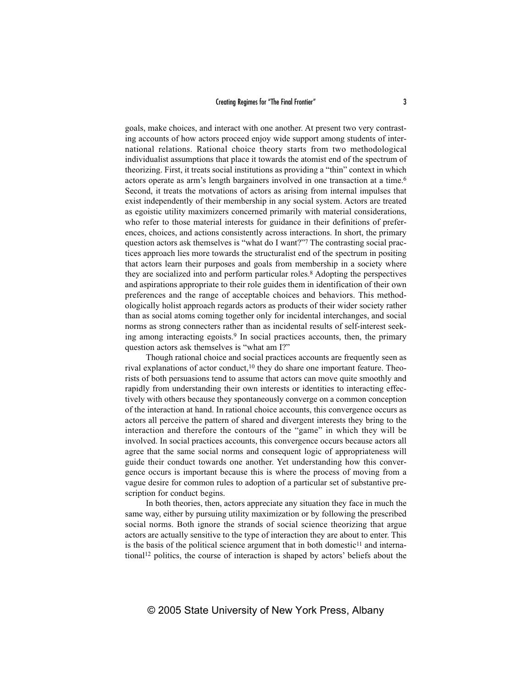goals, make choices, and interact with one another. At present two very contrasting accounts of how actors proceed enjoy wide support among students of international relations. Rational choice theory starts from two methodological individualist assumptions that place it towards the atomist end of the spectrum of theorizing. First, it treats social institutions as providing a "thin" context in which actors operate as arm's length bargainers involved in one transaction at a time.<sup>6</sup> Second, it treats the motvations of actors as arising from internal impulses that exist independently of their membership in any social system. Actors are treated as egoistic utility maximizers concerned primarily with material considerations, who refer to those material interests for guidance in their definitions of preferences, choices, and actions consistently across interactions. In short, the primary question actors ask themselves is "what do I want?"7 The contrasting social practices approach lies more towards the structuralist end of the spectrum in positing that actors learn their purposes and goals from membership in a society where they are socialized into and perform particular roles.8 Adopting the perspectives and aspirations appropriate to their role guides them in identification of their own preferences and the range of acceptable choices and behaviors. This methodologically holist approach regards actors as products of their wider society rather than as social atoms coming together only for incidental interchanges, and social norms as strong connecters rather than as incidental results of self-interest seeking among interacting egoists.9 In social practices accounts, then, the primary question actors ask themselves is "what am I?"

Though rational choice and social practices accounts are frequently seen as rival explanations of actor conduct,10 they do share one important feature. Theorists of both persuasions tend to assume that actors can move quite smoothly and rapidly from understanding their own interests or identities to interacting effectively with others because they spontaneously converge on a common conception of the interaction at hand. In rational choice accounts, this convergence occurs as actors all perceive the pattern of shared and divergent interests they bring to the interaction and therefore the contours of the "game" in which they will be involved. In social practices accounts, this convergence occurs because actors all agree that the same social norms and consequent logic of appropriateness will guide their conduct towards one another. Yet understanding how this convergence occurs is important because this is where the process of moving from a vague desire for common rules to adoption of a particular set of substantive prescription for conduct begins.

In both theories, then, actors appreciate any situation they face in much the same way, either by pursuing utility maximization or by following the prescribed social norms. Both ignore the strands of social science theorizing that argue actors are actually sensitive to the type of interaction they are about to enter. This is the basis of the political science argument that in both domestic<sup>11</sup> and international12 politics, the course of interaction is shaped by actors' beliefs about the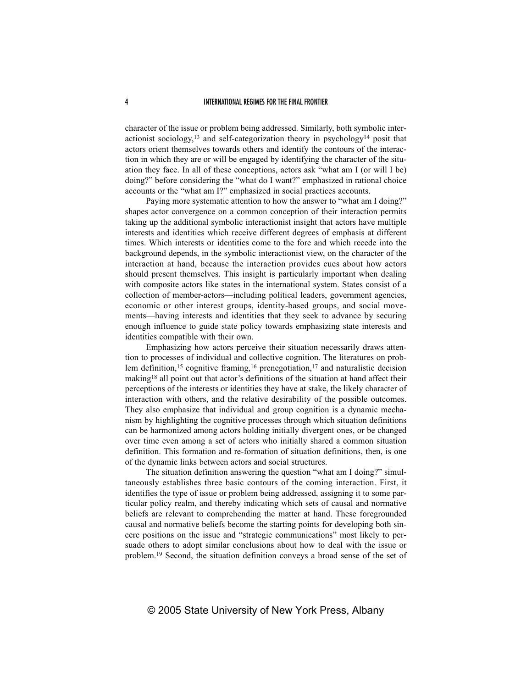character of the issue or problem being addressed. Similarly, both symbolic interactionist sociology,<sup>13</sup> and self-categorization theory in psychology<sup>14</sup> posit that actors orient themselves towards others and identify the contours of the interaction in which they are or will be engaged by identifying the character of the situation they face. In all of these conceptions, actors ask "what am I (or will I be) doing?" before considering the "what do I want?" emphasized in rational choice accounts or the "what am I?" emphasized in social practices accounts.

Paying more systematic attention to how the answer to "what am I doing?" shapes actor convergence on a common conception of their interaction permits taking up the additional symbolic interactionist insight that actors have multiple interests and identities which receive different degrees of emphasis at different times. Which interests or identities come to the fore and which recede into the background depends, in the symbolic interactionist view, on the character of the interaction at hand, because the interaction provides cues about how actors should present themselves. This insight is particularly important when dealing with composite actors like states in the international system. States consist of a collection of member-actors—including political leaders, government agencies, economic or other interest groups, identity-based groups, and social movements—having interests and identities that they seek to advance by securing enough influence to guide state policy towards emphasizing state interests and identities compatible with their own.

Emphasizing how actors perceive their situation necessarily draws attention to processes of individual and collective cognition. The literatures on problem definition,<sup>15</sup> cognitive framing,<sup>16</sup> prenegotiation,<sup>17</sup> and naturalistic decision making18 all point out that actor's definitions of the situation at hand affect their perceptions of the interests or identities they have at stake, the likely character of interaction with others, and the relative desirability of the possible outcomes. They also emphasize that individual and group cognition is a dynamic mechanism by highlighting the cognitive processes through which situation definitions can be harmonized among actors holding initially divergent ones, or be changed over time even among a set of actors who initially shared a common situation definition. This formation and re-formation of situation definitions, then, is one of the dynamic links between actors and social structures.

The situation definition answering the question "what am I doing?" simultaneously establishes three basic contours of the coming interaction. First, it identifies the type of issue or problem being addressed, assigning it to some particular policy realm, and thereby indicating which sets of causal and normative beliefs are relevant to comprehending the matter at hand. These foregrounded causal and normative beliefs become the starting points for developing both sincere positions on the issue and "strategic communications" most likely to persuade others to adopt similar conclusions about how to deal with the issue or problem.19 Second, the situation definition conveys a broad sense of the set of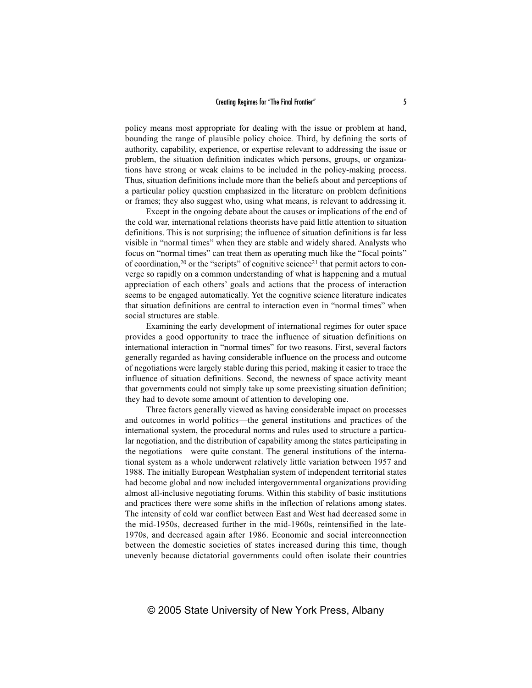policy means most appropriate for dealing with the issue or problem at hand, bounding the range of plausible policy choice. Third, by defining the sorts of authority, capability, experience, or expertise relevant to addressing the issue or problem, the situation definition indicates which persons, groups, or organizations have strong or weak claims to be included in the policy-making process. Thus, situation definitions include more than the beliefs about and perceptions of a particular policy question emphasized in the literature on problem definitions or frames; they also suggest who, using what means, is relevant to addressing it.

Except in the ongoing debate about the causes or implications of the end of the cold war, international relations theorists have paid little attention to situation definitions. This is not surprising; the influence of situation definitions is far less visible in "normal times" when they are stable and widely shared. Analysts who focus on "normal times" can treat them as operating much like the "focal points" of coordination,<sup>20</sup> or the "scripts" of cognitive science<sup>21</sup> that permit actors to converge so rapidly on a common understanding of what is happening and a mutual appreciation of each others' goals and actions that the process of interaction seems to be engaged automatically. Yet the cognitive science literature indicates that situation definitions are central to interaction even in "normal times" when social structures are stable.

Examining the early development of international regimes for outer space provides a good opportunity to trace the influence of situation definitions on international interaction in "normal times" for two reasons. First, several factors generally regarded as having considerable influence on the process and outcome of negotiations were largely stable during this period, making it easier to trace the influence of situation definitions. Second, the newness of space activity meant that governments could not simply take up some preexisting situation definition; they had to devote some amount of attention to developing one.

Three factors generally viewed as having considerable impact on processes and outcomes in world politics—the general institutions and practices of the international system, the procedural norms and rules used to structure a particular negotiation, and the distribution of capability among the states participating in the negotiations—were quite constant. The general institutions of the international system as a whole underwent relatively little variation between 1957 and 1988. The initially European Westphalian system of independent territorial states had become global and now included intergovernmental organizations providing almost all-inclusive negotiating forums. Within this stability of basic institutions and practices there were some shifts in the inflection of relations among states. The intensity of cold war conflict between East and West had decreased some in the mid-1950s, decreased further in the mid-1960s, reintensified in the late-1970s, and decreased again after 1986. Economic and social interconnection between the domestic societies of states increased during this time, though unevenly because dictatorial governments could often isolate their countries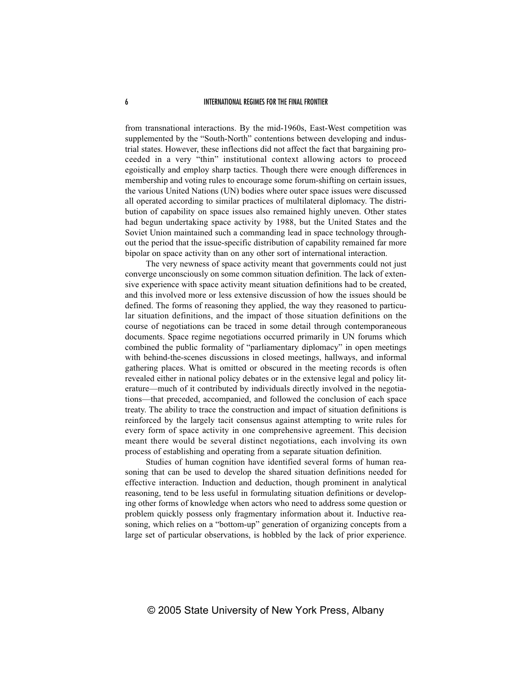from transnational interactions. By the mid-1960s, East-West competition was supplemented by the "South-North" contentions between developing and industrial states. However, these inflections did not affect the fact that bargaining proceeded in a very "thin" institutional context allowing actors to proceed egoistically and employ sharp tactics. Though there were enough differences in membership and voting rules to encourage some forum-shifting on certain issues, the various United Nations (UN) bodies where outer space issues were discussed all operated according to similar practices of multilateral diplomacy. The distribution of capability on space issues also remained highly uneven. Other states had begun undertaking space activity by 1988, but the United States and the Soviet Union maintained such a commanding lead in space technology throughout the period that the issue-specific distribution of capability remained far more bipolar on space activity than on any other sort of international interaction.

The very newness of space activity meant that governments could not just converge unconsciously on some common situation definition. The lack of extensive experience with space activity meant situation definitions had to be created, and this involved more or less extensive discussion of how the issues should be defined. The forms of reasoning they applied, the way they reasoned to particular situation definitions, and the impact of those situation definitions on the course of negotiations can be traced in some detail through contemporaneous documents. Space regime negotiations occurred primarily in UN forums which combined the public formality of "parliamentary diplomacy" in open meetings with behind-the-scenes discussions in closed meetings, hallways, and informal gathering places. What is omitted or obscured in the meeting records is often revealed either in national policy debates or in the extensive legal and policy literature—much of it contributed by individuals directly involved in the negotiations—that preceded, accompanied, and followed the conclusion of each space treaty. The ability to trace the construction and impact of situation definitions is reinforced by the largely tacit consensus against attempting to write rules for every form of space activity in one comprehensive agreement. This decision meant there would be several distinct negotiations, each involving its own process of establishing and operating from a separate situation definition.

Studies of human cognition have identified several forms of human reasoning that can be used to develop the shared situation definitions needed for effective interaction. Induction and deduction, though prominent in analytical reasoning, tend to be less useful in formulating situation definitions or developing other forms of knowledge when actors who need to address some question or problem quickly possess only fragmentary information about it. Inductive reasoning, which relies on a "bottom-up" generation of organizing concepts from a large set of particular observations, is hobbled by the lack of prior experience.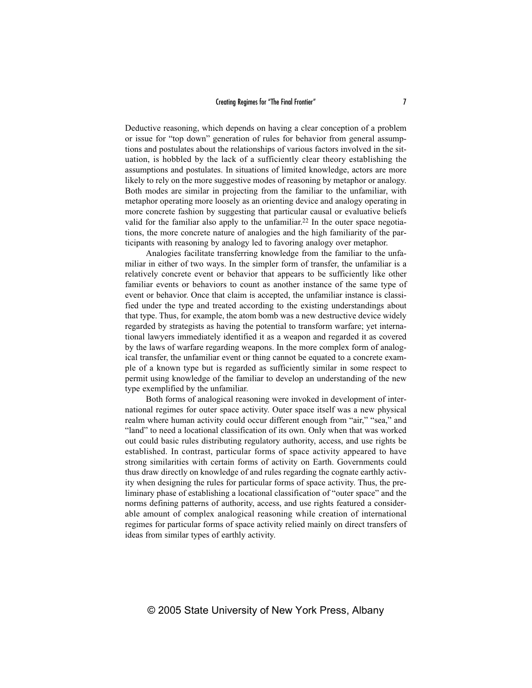Deductive reasoning, which depends on having a clear conception of a problem or issue for "top down" generation of rules for behavior from general assumptions and postulates about the relationships of various factors involved in the situation, is hobbled by the lack of a sufficiently clear theory establishing the assumptions and postulates. In situations of limited knowledge, actors are more likely to rely on the more suggestive modes of reasoning by metaphor or analogy. Both modes are similar in projecting from the familiar to the unfamiliar, with metaphor operating more loosely as an orienting device and analogy operating in more concrete fashion by suggesting that particular causal or evaluative beliefs valid for the familiar also apply to the unfamiliar.<sup>22</sup> In the outer space negotiations, the more concrete nature of analogies and the high familiarity of the participants with reasoning by analogy led to favoring analogy over metaphor.

Analogies facilitate transferring knowledge from the familiar to the unfamiliar in either of two ways. In the simpler form of transfer, the unfamiliar is a relatively concrete event or behavior that appears to be sufficiently like other familiar events or behaviors to count as another instance of the same type of event or behavior. Once that claim is accepted, the unfamiliar instance is classified under the type and treated according to the existing understandings about that type. Thus, for example, the atom bomb was a new destructive device widely regarded by strategists as having the potential to transform warfare; yet international lawyers immediately identified it as a weapon and regarded it as covered by the laws of warfare regarding weapons. In the more complex form of analogical transfer, the unfamiliar event or thing cannot be equated to a concrete example of a known type but is regarded as sufficiently similar in some respect to permit using knowledge of the familiar to develop an understanding of the new type exemplified by the unfamiliar.

Both forms of analogical reasoning were invoked in development of international regimes for outer space activity. Outer space itself was a new physical realm where human activity could occur different enough from "air," "sea," and "land" to need a locational classification of its own. Only when that was worked out could basic rules distributing regulatory authority, access, and use rights be established. In contrast, particular forms of space activity appeared to have strong similarities with certain forms of activity on Earth. Governments could thus draw directly on knowledge of and rules regarding the cognate earthly activity when designing the rules for particular forms of space activity. Thus, the preliminary phase of establishing a locational classification of "outer space" and the norms defining patterns of authority, access, and use rights featured a considerable amount of complex analogical reasoning while creation of international regimes for particular forms of space activity relied mainly on direct transfers of ideas from similar types of earthly activity.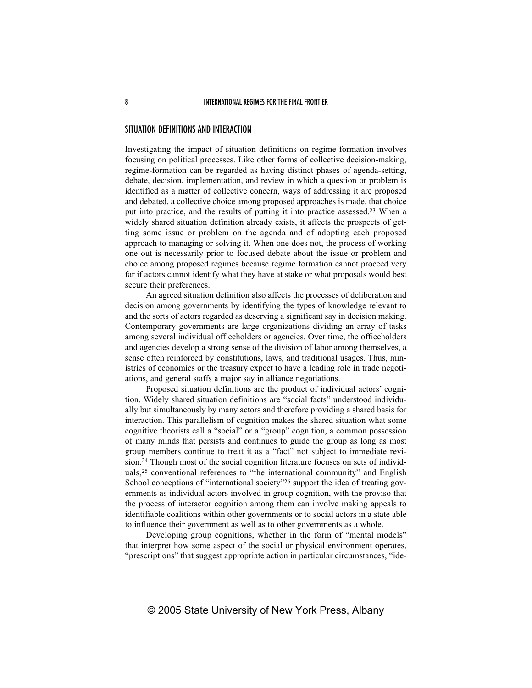# SITUATION DEFINITIONS AND INTERACTION

Investigating the impact of situation definitions on regime-formation involves focusing on political processes. Like other forms of collective decision-making, regime-formation can be regarded as having distinct phases of agenda-setting, debate, decision, implementation, and review in which a question or problem is identified as a matter of collective concern, ways of addressing it are proposed and debated, a collective choice among proposed approaches is made, that choice put into practice, and the results of putting it into practice assessed.23 When a widely shared situation definition already exists, it affects the prospects of getting some issue or problem on the agenda and of adopting each proposed approach to managing or solving it. When one does not, the process of working one out is necessarily prior to focused debate about the issue or problem and choice among proposed regimes because regime formation cannot proceed very far if actors cannot identify what they have at stake or what proposals would best secure their preferences.

An agreed situation definition also affects the processes of deliberation and decision among governments by identifying the types of knowledge relevant to and the sorts of actors regarded as deserving a significant say in decision making. Contemporary governments are large organizations dividing an array of tasks among several individual officeholders or agencies. Over time, the officeholders and agencies develop a strong sense of the division of labor among themselves, a sense often reinforced by constitutions, laws, and traditional usages. Thus, ministries of economics or the treasury expect to have a leading role in trade negotiations, and general staffs a major say in alliance negotiations.

Proposed situation definitions are the product of individual actors' cognition. Widely shared situation definitions are "social facts" understood individually but simultaneously by many actors and therefore providing a shared basis for interaction. This parallelism of cognition makes the shared situation what some cognitive theorists call a "social" or a "group" cognition, a common possession of many minds that persists and continues to guide the group as long as most group members continue to treat it as a "fact" not subject to immediate revision.<sup>24</sup> Though most of the social cognition literature focuses on sets of individuals,25 conventional references to "the international community" and English School conceptions of "international society"<sup>26</sup> support the idea of treating governments as individual actors involved in group cognition, with the proviso that the process of interactor cognition among them can involve making appeals to identifiable coalitions within other governments or to social actors in a state able to influence their government as well as to other governments as a whole.

Developing group cognitions, whether in the form of "mental models" that interpret how some aspect of the social or physical environment operates, "prescriptions" that suggest appropriate action in particular circumstances, "ide-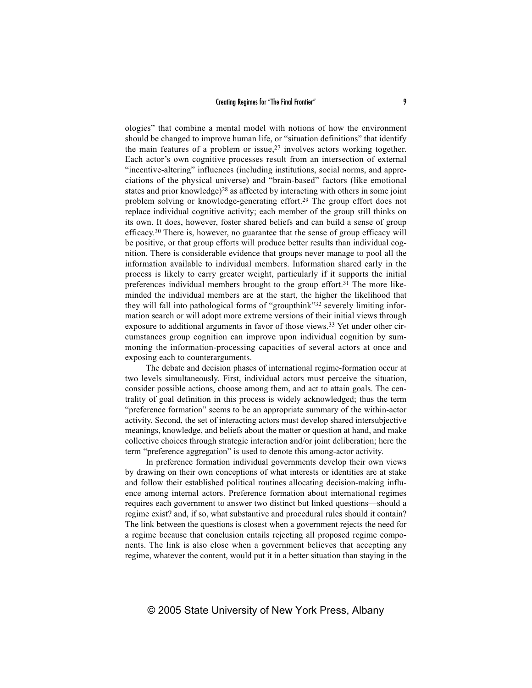ologies" that combine a mental model with notions of how the environment should be changed to improve human life, or "situation definitions" that identify the main features of a problem or issue,  $27$  involves actors working together. Each actor's own cognitive processes result from an intersection of external "incentive-altering" influences (including institutions, social norms, and appreciations of the physical universe) and "brain-based" factors (like emotional states and prior knowledge)<sup>28</sup> as affected by interacting with others in some joint problem solving or knowledge-generating effort.29 The group effort does not replace individual cognitive activity; each member of the group still thinks on its own. It does, however, foster shared beliefs and can build a sense of group efficacy.30 There is, however, no guarantee that the sense of group efficacy will be positive, or that group efforts will produce better results than individual cognition. There is considerable evidence that groups never manage to pool all the information available to individual members. Information shared early in the process is likely to carry greater weight, particularly if it supports the initial preferences individual members brought to the group effort.31 The more likeminded the individual members are at the start, the higher the likelihood that they will fall into pathological forms of "groupthink"32 severely limiting information search or will adopt more extreme versions of their initial views through exposure to additional arguments in favor of those views.<sup>33</sup> Yet under other circumstances group cognition can improve upon individual cognition by summoning the information-processing capacities of several actors at once and exposing each to counterarguments.

The debate and decision phases of international regime-formation occur at two levels simultaneously. First, individual actors must perceive the situation, consider possible actions, choose among them, and act to attain goals. The centrality of goal definition in this process is widely acknowledged; thus the term "preference formation" seems to be an appropriate summary of the within-actor activity. Second, the set of interacting actors must develop shared intersubjective meanings, knowledge, and beliefs about the matter or question at hand, and make collective choices through strategic interaction and/or joint deliberation; here the term "preference aggregation" is used to denote this among-actor activity.

In preference formation individual governments develop their own views by drawing on their own conceptions of what interests or identities are at stake and follow their established political routines allocating decision-making influence among internal actors. Preference formation about international regimes requires each government to answer two distinct but linked questions—should a regime exist? and, if so, what substantive and procedural rules should it contain? The link between the questions is closest when a government rejects the need for a regime because that conclusion entails rejecting all proposed regime components. The link is also close when a government believes that accepting any regime, whatever the content, would put it in a better situation than staying in the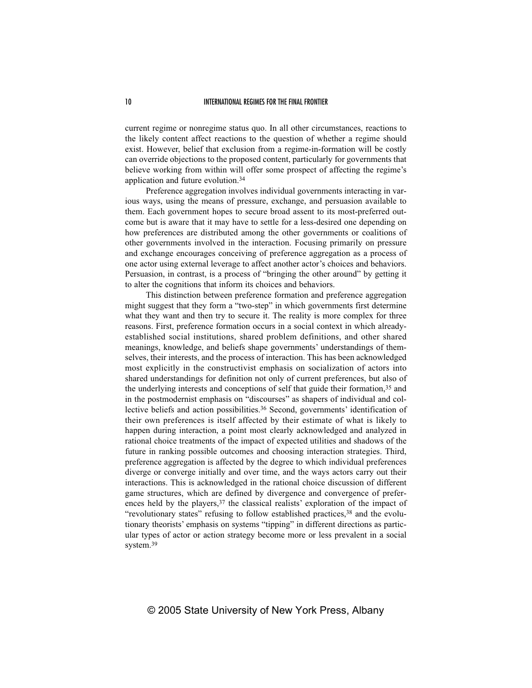current regime or nonregime status quo. In all other circumstances, reactions to the likely content affect reactions to the question of whether a regime should exist. However, belief that exclusion from a regime-in-formation will be costly can override objections to the proposed content, particularly for governments that believe working from within will offer some prospect of affecting the regime's application and future evolution.34

Preference aggregation involves individual governments interacting in various ways, using the means of pressure, exchange, and persuasion available to them. Each government hopes to secure broad assent to its most-preferred outcome but is aware that it may have to settle for a less-desired one depending on how preferences are distributed among the other governments or coalitions of other governments involved in the interaction. Focusing primarily on pressure and exchange encourages conceiving of preference aggregation as a process of one actor using external leverage to affect another actor's choices and behaviors. Persuasion, in contrast, is a process of "bringing the other around" by getting it to alter the cognitions that inform its choices and behaviors.

This distinction between preference formation and preference aggregation might suggest that they form a "two-step" in which governments first determine what they want and then try to secure it. The reality is more complex for three reasons. First, preference formation occurs in a social context in which alreadyestablished social institutions, shared problem definitions, and other shared meanings, knowledge, and beliefs shape governments' understandings of themselves, their interests, and the process of interaction. This has been acknowledged most explicitly in the constructivist emphasis on socialization of actors into shared understandings for definition not only of current preferences, but also of the underlying interests and conceptions of self that guide their formation,35 and in the postmodernist emphasis on "discourses" as shapers of individual and collective beliefs and action possibilities.36 Second, governments' identification of their own preferences is itself affected by their estimate of what is likely to happen during interaction, a point most clearly acknowledged and analyzed in rational choice treatments of the impact of expected utilities and shadows of the future in ranking possible outcomes and choosing interaction strategies. Third, preference aggregation is affected by the degree to which individual preferences diverge or converge initially and over time, and the ways actors carry out their interactions. This is acknowledged in the rational choice discussion of different game structures, which are defined by divergence and convergence of preferences held by the players,<sup>37</sup> the classical realists' exploration of the impact of "revolutionary states" refusing to follow established practices,<sup>38</sup> and the evolutionary theorists' emphasis on systems "tipping" in different directions as particular types of actor or action strategy become more or less prevalent in a social system.39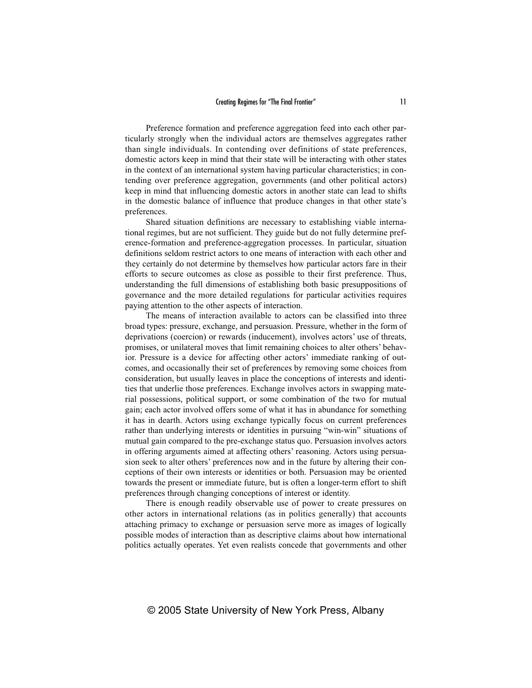Preference formation and preference aggregation feed into each other particularly strongly when the individual actors are themselves aggregates rather than single individuals. In contending over definitions of state preferences, domestic actors keep in mind that their state will be interacting with other states in the context of an international system having particular characteristics; in contending over preference aggregation, governments (and other political actors) keep in mind that influencing domestic actors in another state can lead to shifts in the domestic balance of influence that produce changes in that other state's preferences.

Shared situation definitions are necessary to establishing viable international regimes, but are not sufficient. They guide but do not fully determine preference-formation and preference-aggregation processes. In particular, situation definitions seldom restrict actors to one means of interaction with each other and they certainly do not determine by themselves how particular actors fare in their efforts to secure outcomes as close as possible to their first preference. Thus, understanding the full dimensions of establishing both basic presuppositions of governance and the more detailed regulations for particular activities requires paying attention to the other aspects of interaction.

The means of interaction available to actors can be classified into three broad types: pressure, exchange, and persuasion. Pressure, whether in the form of deprivations (coercion) or rewards (inducement), involves actors' use of threats, promises, or unilateral moves that limit remaining choices to alter others' behavior. Pressure is a device for affecting other actors' immediate ranking of outcomes, and occasionally their set of preferences by removing some choices from consideration, but usually leaves in place the conceptions of interests and identities that underlie those preferences. Exchange involves actors in swapping material possessions, political support, or some combination of the two for mutual gain; each actor involved offers some of what it has in abundance for something it has in dearth. Actors using exchange typically focus on current preferences rather than underlying interests or identities in pursuing "win-win" situations of mutual gain compared to the pre-exchange status quo. Persuasion involves actors in offering arguments aimed at affecting others' reasoning. Actors using persuasion seek to alter others' preferences now and in the future by altering their conceptions of their own interests or identities or both. Persuasion may be oriented towards the present or immediate future, but is often a longer-term effort to shift preferences through changing conceptions of interest or identity.

There is enough readily observable use of power to create pressures on other actors in international relations (as in politics generally) that accounts attaching primacy to exchange or persuasion serve more as images of logically possible modes of interaction than as descriptive claims about how international politics actually operates. Yet even realists concede that governments and other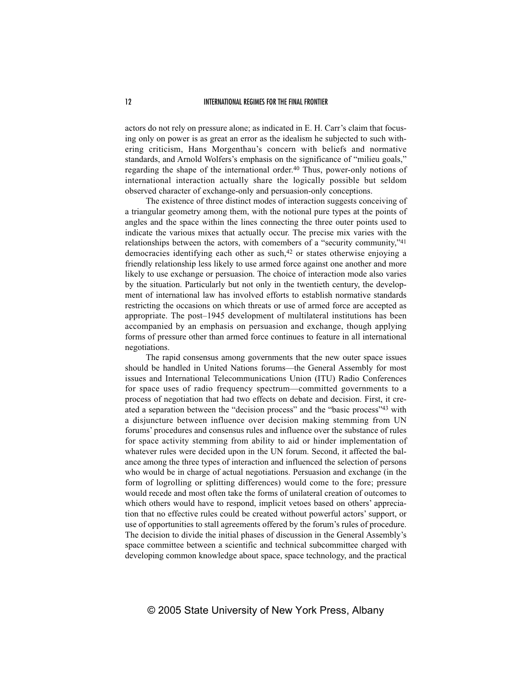actors do not rely on pressure alone; as indicated in E. H. Carr's claim that focusing only on power is as great an error as the idealism he subjected to such withering criticism, Hans Morgenthau's concern with beliefs and normative standards, and Arnold Wolfers's emphasis on the significance of "milieu goals," regarding the shape of the international order.40 Thus, power-only notions of international interaction actually share the logically possible but seldom observed character of exchange-only and persuasion-only conceptions.

The existence of three distinct modes of interaction suggests conceiving of a triangular geometry among them, with the notional pure types at the points of angles and the space within the lines connecting the three outer points used to indicate the various mixes that actually occur. The precise mix varies with the relationships between the actors, with comembers of a "security community,"41 democracies identifying each other as such,42 or states otherwise enjoying a friendly relationship less likely to use armed force against one another and more likely to use exchange or persuasion. The choice of interaction mode also varies by the situation. Particularly but not only in the twentieth century, the development of international law has involved efforts to establish normative standards restricting the occasions on which threats or use of armed force are accepted as appropriate. The post–1945 development of multilateral institutions has been accompanied by an emphasis on persuasion and exchange, though applying forms of pressure other than armed force continues to feature in all international negotiations.

The rapid consensus among governments that the new outer space issues should be handled in United Nations forums—the General Assembly for most issues and International Telecommunications Union (ITU) Radio Conferences for space uses of radio frequency spectrum—committed governments to a process of negotiation that had two effects on debate and decision. First, it created a separation between the "decision process" and the "basic process"43 with a disjuncture between influence over decision making stemming from UN forums' procedures and consensus rules and influence over the substance of rules for space activity stemming from ability to aid or hinder implementation of whatever rules were decided upon in the UN forum. Second, it affected the balance among the three types of interaction and influenced the selection of persons who would be in charge of actual negotiations. Persuasion and exchange (in the form of logrolling or splitting differences) would come to the fore; pressure would recede and most often take the forms of unilateral creation of outcomes to which others would have to respond, implicit vetoes based on others' appreciation that no effective rules could be created without powerful actors' support, or use of opportunities to stall agreements offered by the forum's rules of procedure. The decision to divide the initial phases of discussion in the General Assembly's space committee between a scientific and technical subcommittee charged with developing common knowledge about space, space technology, and the practical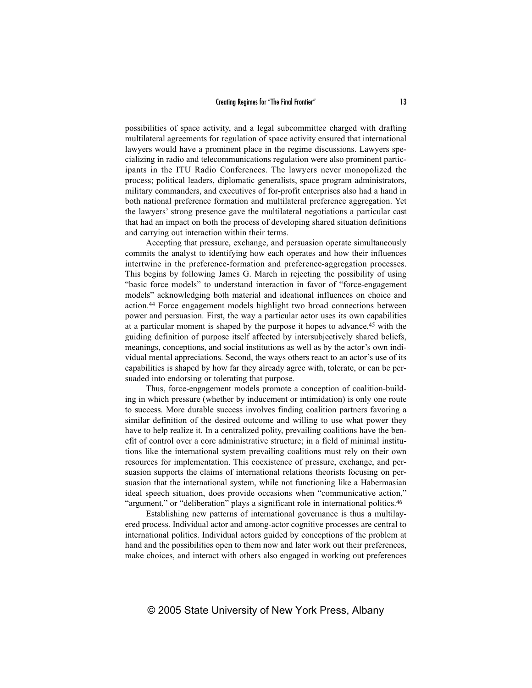possibilities of space activity, and a legal subcommittee charged with drafting multilateral agreements for regulation of space activity ensured that international lawyers would have a prominent place in the regime discussions. Lawyers specializing in radio and telecommunications regulation were also prominent participants in the ITU Radio Conferences. The lawyers never monopolized the process; political leaders, diplomatic generalists, space program administrators, military commanders, and executives of for-profit enterprises also had a hand in both national preference formation and multilateral preference aggregation. Yet the lawyers' strong presence gave the multilateral negotiations a particular cast that had an impact on both the process of developing shared situation definitions and carrying out interaction within their terms.

Accepting that pressure, exchange, and persuasion operate simultaneously commits the analyst to identifying how each operates and how their influences intertwine in the preference-formation and preference-aggregation processes. This begins by following James G. March in rejecting the possibility of using "basic force models" to understand interaction in favor of "force-engagement models" acknowledging both material and ideational influences on choice and action.44 Force engagement models highlight two broad connections between power and persuasion. First, the way a particular actor uses its own capabilities at a particular moment is shaped by the purpose it hopes to advance,45 with the guiding definition of purpose itself affected by intersubjectively shared beliefs, meanings, conceptions, and social institutions as well as by the actor's own individual mental appreciations. Second, the ways others react to an actor's use of its capabilities is shaped by how far they already agree with, tolerate, or can be persuaded into endorsing or tolerating that purpose.

Thus, force-engagement models promote a conception of coalition-building in which pressure (whether by inducement or intimidation) is only one route to success. More durable success involves finding coalition partners favoring a similar definition of the desired outcome and willing to use what power they have to help realize it. In a centralized polity, prevailing coalitions have the benefit of control over a core administrative structure; in a field of minimal institutions like the international system prevailing coalitions must rely on their own resources for implementation. This coexistence of pressure, exchange, and persuasion supports the claims of international relations theorists focusing on persuasion that the international system, while not functioning like a Habermasian ideal speech situation, does provide occasions when "communicative action," "argument," or "deliberation" plays a significant role in international politics.<sup>46</sup>

Establishing new patterns of international governance is thus a multilayered process. Individual actor and among-actor cognitive processes are central to international politics. Individual actors guided by conceptions of the problem at hand and the possibilities open to them now and later work out their preferences, make choices, and interact with others also engaged in working out preferences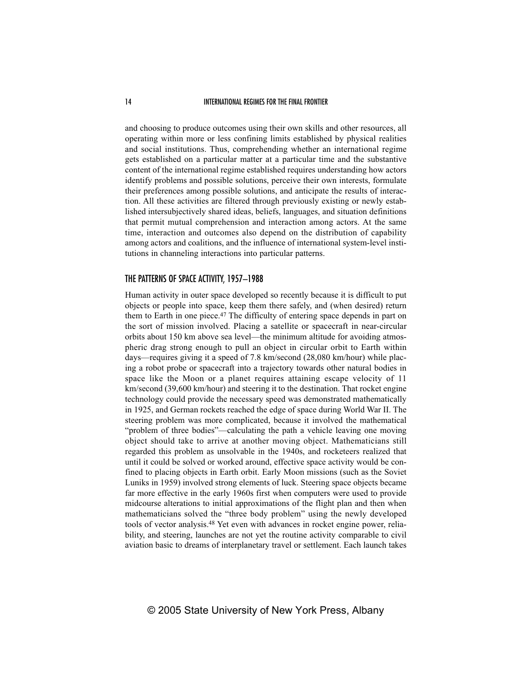and choosing to produce outcomes using their own skills and other resources, all operating within more or less confining limits established by physical realities and social institutions. Thus, comprehending whether an international regime gets established on a particular matter at a particular time and the substantive content of the international regime established requires understanding how actors identify problems and possible solutions, perceive their own interests, formulate their preferences among possible solutions, and anticipate the results of interaction. All these activities are filtered through previously existing or newly established intersubjectively shared ideas, beliefs, languages, and situation definitions that permit mutual comprehension and interaction among actors. At the same time, interaction and outcomes also depend on the distribution of capability among actors and coalitions, and the influence of international system-level institutions in channeling interactions into particular patterns.

# THE PATTERNS OF SPACE ACTIVITY, 1957–1988

Human activity in outer space developed so recently because it is difficult to put objects or people into space, keep them there safely, and (when desired) return them to Earth in one piece.47 The difficulty of entering space depends in part on the sort of mission involved. Placing a satellite or spacecraft in near-circular orbits about 150 km above sea level—the minimum altitude for avoiding atmospheric drag strong enough to pull an object in circular orbit to Earth within days—requires giving it a speed of 7.8 km/second (28,080 km/hour) while placing a robot probe or spacecraft into a trajectory towards other natural bodies in space like the Moon or a planet requires attaining escape velocity of 11 km/second (39,600 km/hour) and steering it to the destination. That rocket engine technology could provide the necessary speed was demonstrated mathematically in 1925, and German rockets reached the edge of space during World War II. The steering problem was more complicated, because it involved the mathematical "problem of three bodies"—calculating the path a vehicle leaving one moving object should take to arrive at another moving object. Mathematicians still regarded this problem as unsolvable in the 1940s, and rocketeers realized that until it could be solved or worked around, effective space activity would be confined to placing objects in Earth orbit. Early Moon missions (such as the Soviet Luniks in 1959) involved strong elements of luck. Steering space objects became far more effective in the early 1960s first when computers were used to provide midcourse alterations to initial approximations of the flight plan and then when mathematicians solved the "three body problem" using the newly developed tools of vector analysis.48 Yet even with advances in rocket engine power, reliability, and steering, launches are not yet the routine activity comparable to civil aviation basic to dreams of interplanetary travel or settlement. Each launch takes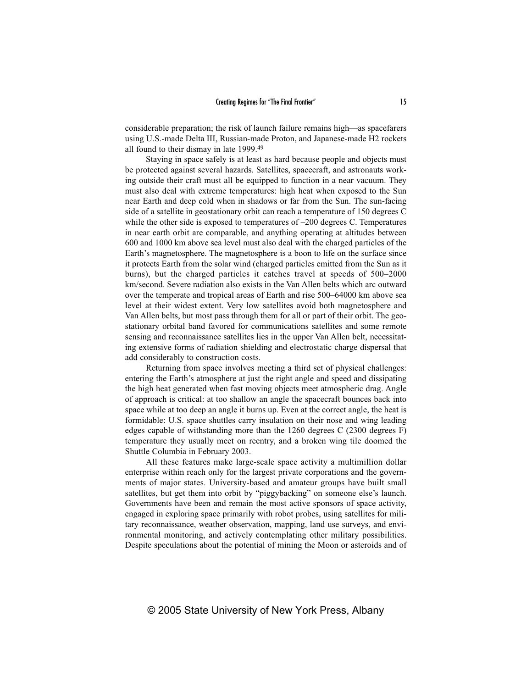considerable preparation; the risk of launch failure remains high—as spacefarers using U.S.-made Delta III, Russian-made Proton, and Japanese-made H2 rockets all found to their dismay in late 1999.49

Staying in space safely is at least as hard because people and objects must be protected against several hazards. Satellites, spacecraft, and astronauts working outside their craft must all be equipped to function in a near vacuum. They must also deal with extreme temperatures: high heat when exposed to the Sun near Earth and deep cold when in shadows or far from the Sun. The sun-facing side of a satellite in geostationary orbit can reach a temperature of 150 degrees C while the other side is exposed to temperatures of –200 degrees C. Temperatures in near earth orbit are comparable, and anything operating at altitudes between 600 and 1000 km above sea level must also deal with the charged particles of the Earth's magnetosphere. The magnetosphere is a boon to life on the surface since it protects Earth from the solar wind (charged particles emitted from the Sun as it burns), but the charged particles it catches travel at speeds of 500–2000 km/second. Severe radiation also exists in the Van Allen belts which arc outward over the temperate and tropical areas of Earth and rise 500–64000 km above sea level at their widest extent. Very low satellites avoid both magnetosphere and Van Allen belts, but most pass through them for all or part of their orbit. The geostationary orbital band favored for communications satellites and some remote sensing and reconnaissance satellites lies in the upper Van Allen belt, necessitating extensive forms of radiation shielding and electrostatic charge dispersal that add considerably to construction costs.

Returning from space involves meeting a third set of physical challenges: entering the Earth's atmosphere at just the right angle and speed and dissipating the high heat generated when fast moving objects meet atmospheric drag. Angle of approach is critical: at too shallow an angle the spacecraft bounces back into space while at too deep an angle it burns up. Even at the correct angle, the heat is formidable: U.S. space shuttles carry insulation on their nose and wing leading edges capable of withstanding more than the 1260 degrees C (2300 degrees F) temperature they usually meet on reentry, and a broken wing tile doomed the Shuttle Columbia in February 2003.

All these features make large-scale space activity a multimillion dollar enterprise within reach only for the largest private corporations and the governments of major states. University-based and amateur groups have built small satellites, but get them into orbit by "piggybacking" on someone else's launch. Governments have been and remain the most active sponsors of space activity, engaged in exploring space primarily with robot probes, using satellites for military reconnaissance, weather observation, mapping, land use surveys, and environmental monitoring, and actively contemplating other military possibilities. Despite speculations about the potential of mining the Moon or asteroids and of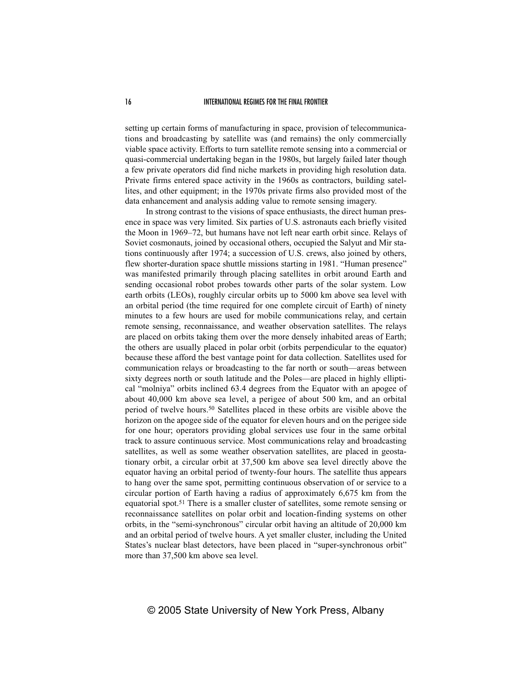setting up certain forms of manufacturing in space, provision of telecommunications and broadcasting by satellite was (and remains) the only commercially viable space activity. Efforts to turn satellite remote sensing into a commercial or quasi-commercial undertaking began in the 1980s, but largely failed later though a few private operators did find niche markets in providing high resolution data. Private firms entered space activity in the 1960s as contractors, building satellites, and other equipment; in the 1970s private firms also provided most of the data enhancement and analysis adding value to remote sensing imagery.

In strong contrast to the visions of space enthusiasts, the direct human presence in space was very limited. Six parties of U.S. astronauts each briefly visited the Moon in 1969–72, but humans have not left near earth orbit since. Relays of Soviet cosmonauts, joined by occasional others, occupied the Salyut and Mir stations continuously after 1974; a succession of U.S. crews, also joined by others, flew shorter-duration space shuttle missions starting in 1981. "Human presence" was manifested primarily through placing satellites in orbit around Earth and sending occasional robot probes towards other parts of the solar system. Low earth orbits (LEOs), roughly circular orbits up to 5000 km above sea level with an orbital period (the time required for one complete circuit of Earth) of ninety minutes to a few hours are used for mobile communications relay, and certain remote sensing, reconnaissance, and weather observation satellites. The relays are placed on orbits taking them over the more densely inhabited areas of Earth; the others are usually placed in polar orbit (orbits perpendicular to the equator) because these afford the best vantage point for data collection. Satellites used for communication relays or broadcasting to the far north or south—areas between sixty degrees north or south latitude and the Poles—are placed in highly elliptical "molniya" orbits inclined 63.4 degrees from the Equator with an apogee of about 40,000 km above sea level, a perigee of about 500 km, and an orbital period of twelve hours.50 Satellites placed in these orbits are visible above the horizon on the apogee side of the equator for eleven hours and on the perigee side for one hour; operators providing global services use four in the same orbital track to assure continuous service. Most communications relay and broadcasting satellites, as well as some weather observation satellites, are placed in geostationary orbit, a circular orbit at 37,500 km above sea level directly above the equator having an orbital period of twenty-four hours. The satellite thus appears to hang over the same spot, permitting continuous observation of or service to a circular portion of Earth having a radius of approximately 6,675 km from the equatorial spot.51 There is a smaller cluster of satellites, some remote sensing or reconnaissance satellites on polar orbit and location-finding systems on other orbits, in the "semi-synchronous" circular orbit having an altitude of 20,000 km and an orbital period of twelve hours. A yet smaller cluster, including the United States's nuclear blast detectors, have been placed in "super-synchronous orbit" more than 37,500 km above sea level.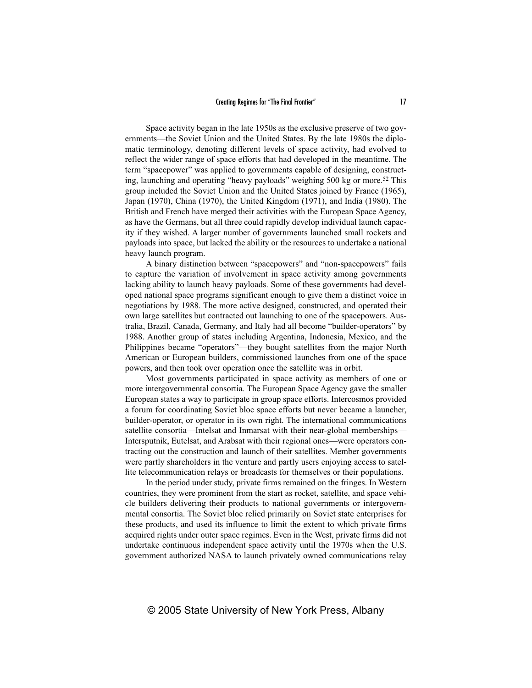Space activity began in the late 1950s as the exclusive preserve of two governments—the Soviet Union and the United States. By the late 1980s the diplomatic terminology, denoting different levels of space activity, had evolved to reflect the wider range of space efforts that had developed in the meantime. The term "spacepower" was applied to governments capable of designing, constructing, launching and operating "heavy payloads" weighing 500 kg or more.<sup>52</sup> This group included the Soviet Union and the United States joined by France (1965), Japan (1970), China (1970), the United Kingdom (1971), and India (1980). The British and French have merged their activities with the European Space Agency, as have the Germans, but all three could rapidly develop individual launch capacity if they wished. A larger number of governments launched small rockets and payloads into space, but lacked the ability or the resources to undertake a national heavy launch program.

A binary distinction between "spacepowers" and "non-spacepowers" fails to capture the variation of involvement in space activity among governments lacking ability to launch heavy payloads. Some of these governments had developed national space programs significant enough to give them a distinct voice in negotiations by 1988. The more active designed, constructed, and operated their own large satellites but contracted out launching to one of the spacepowers. Australia, Brazil, Canada, Germany, and Italy had all become "builder-operators" by 1988. Another group of states including Argentina, Indonesia, Mexico, and the Philippines became "operators"—they bought satellites from the major North American or European builders, commissioned launches from one of the space powers, and then took over operation once the satellite was in orbit.

Most governments participated in space activity as members of one or more intergovernmental consortia. The European Space Agency gave the smaller European states a way to participate in group space efforts. Intercosmos provided a forum for coordinating Soviet bloc space efforts but never became a launcher, builder-operator, or operator in its own right. The international communications satellite consortia—Intelsat and Inmarsat with their near-global memberships— Intersputnik, Eutelsat, and Arabsat with their regional ones—were operators contracting out the construction and launch of their satellites. Member governments were partly shareholders in the venture and partly users enjoying access to satellite telecommunication relays or broadcasts for themselves or their populations.

In the period under study, private firms remained on the fringes. In Western countries, they were prominent from the start as rocket, satellite, and space vehicle builders delivering their products to national governments or intergovernmental consortia. The Soviet bloc relied primarily on Soviet state enterprises for these products, and used its influence to limit the extent to which private firms acquired rights under outer space regimes. Even in the West, private firms did not undertake continuous independent space activity until the 1970s when the U.S. government authorized NASA to launch privately owned communications relay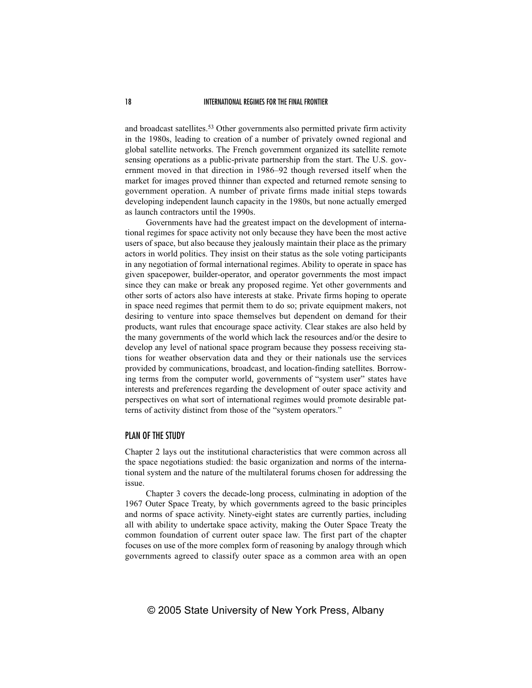and broadcast satellites.<sup>53</sup> Other governments also permitted private firm activity in the 1980s, leading to creation of a number of privately owned regional and global satellite networks. The French government organized its satellite remote sensing operations as a public-private partnership from the start. The U.S. government moved in that direction in 1986–92 though reversed itself when the market for images proved thinner than expected and returned remote sensing to government operation. A number of private firms made initial steps towards developing independent launch capacity in the 1980s, but none actually emerged as launch contractors until the 1990s.

Governments have had the greatest impact on the development of international regimes for space activity not only because they have been the most active users of space, but also because they jealously maintain their place as the primary actors in world politics. They insist on their status as the sole voting participants in any negotiation of formal international regimes. Ability to operate in space has given spacepower, builder-operator, and operator governments the most impact since they can make or break any proposed regime. Yet other governments and other sorts of actors also have interests at stake. Private firms hoping to operate in space need regimes that permit them to do so; private equipment makers, not desiring to venture into space themselves but dependent on demand for their products, want rules that encourage space activity. Clear stakes are also held by the many governments of the world which lack the resources and/or the desire to develop any level of national space program because they possess receiving stations for weather observation data and they or their nationals use the services provided by communications, broadcast, and location-finding satellites. Borrowing terms from the computer world, governments of "system user" states have interests and preferences regarding the development of outer space activity and perspectives on what sort of international regimes would promote desirable patterns of activity distinct from those of the "system operators."

# PLAN OF THE STUDY

Chapter 2 lays out the institutional characteristics that were common across all the space negotiations studied: the basic organization and norms of the international system and the nature of the multilateral forums chosen for addressing the issue.

Chapter 3 covers the decade-long process, culminating in adoption of the 1967 Outer Space Treaty, by which governments agreed to the basic principles and norms of space activity. Ninety-eight states are currently parties, including all with ability to undertake space activity, making the Outer Space Treaty the common foundation of current outer space law. The first part of the chapter focuses on use of the more complex form of reasoning by analogy through which governments agreed to classify outer space as a common area with an open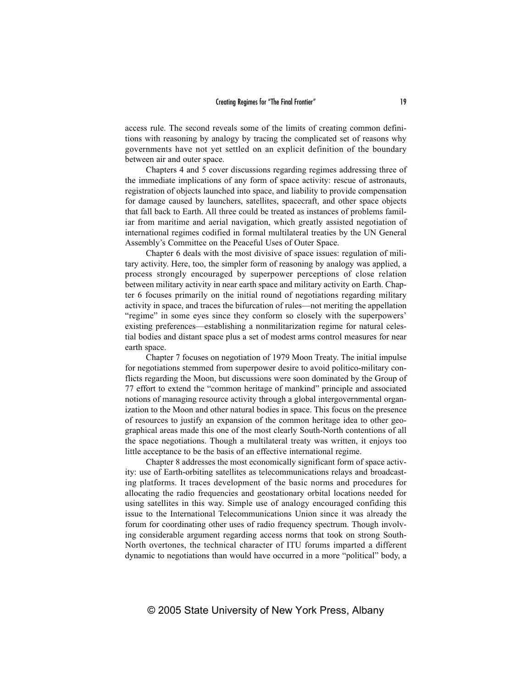access rule. The second reveals some of the limits of creating common definitions with reasoning by analogy by tracing the complicated set of reasons why governments have not yet settled on an explicit definition of the boundary between air and outer space.

Chapters 4 and 5 cover discussions regarding regimes addressing three of the immediate implications of any form of space activity: rescue of astronauts, registration of objects launched into space, and liability to provide compensation for damage caused by launchers, satellites, spacecraft, and other space objects that fall back to Earth. All three could be treated as instances of problems familiar from maritime and aerial navigation, which greatly assisted negotiation of international regimes codified in formal multilateral treaties by the UN General Assembly's Committee on the Peaceful Uses of Outer Space.

Chapter 6 deals with the most divisive of space issues: regulation of military activity. Here, too, the simpler form of reasoning by analogy was applied, a process strongly encouraged by superpower perceptions of close relation between military activity in near earth space and military activity on Earth. Chapter 6 focuses primarily on the initial round of negotiations regarding military activity in space, and traces the bifurcation of rules—not meriting the appellation "regime" in some eyes since they conform so closely with the superpowers' existing preferences—establishing a nonmilitarization regime for natural celestial bodies and distant space plus a set of modest arms control measures for near earth space.

Chapter 7 focuses on negotiation of 1979 Moon Treaty. The initial impulse for negotiations stemmed from superpower desire to avoid politico-military conflicts regarding the Moon, but discussions were soon dominated by the Group of 77 effort to extend the "common heritage of mankind" principle and associated notions of managing resource activity through a global intergovernmental organization to the Moon and other natural bodies in space. This focus on the presence of resources to justify an expansion of the common heritage idea to other geographical areas made this one of the most clearly South-North contentions of all the space negotiations. Though a multilateral treaty was written, it enjoys too little acceptance to be the basis of an effective international regime.

Chapter 8 addresses the most economically significant form of space activity: use of Earth-orbiting satellites as telecommunications relays and broadcasting platforms. It traces development of the basic norms and procedures for allocating the radio frequencies and geostationary orbital locations needed for using satellites in this way. Simple use of analogy encouraged confiding this issue to the International Telecommunications Union since it was already the forum for coordinating other uses of radio frequency spectrum. Though involving considerable argument regarding access norms that took on strong South-North overtones, the technical character of ITU forums imparted a different dynamic to negotiations than would have occurred in a more "political" body, a